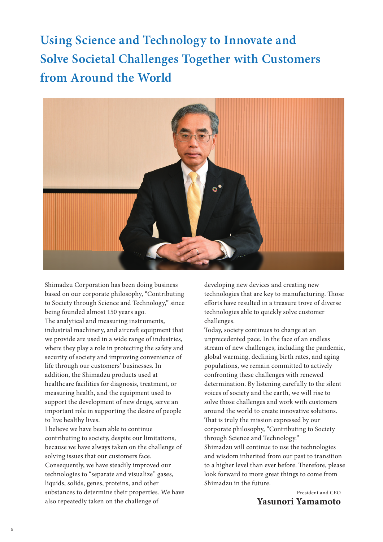**Using Science and Technology to Innovate and Solve Societal Challenges Together with Customers from Around the World**



Shimadzu Corporation has been doing business based on our corporate philosophy, "Contributing to Society through Science and Technology," since being founded almost 150 years ago.

The analytical and measuring instruments, industrial machinery, and aircraft equipment that we provide are used in a wide range of industries, where they play a role in protecting the safety and security of society and improving convenience of life through our customers' businesses. In addition, the Shimadzu products used at healthcare facilities for diagnosis, treatment, or measuring health, and the equipment used to support the development of new drugs, serve an important role in supporting the desire of people to live healthy lives.

I believe we have been able to continue contributing to society, despite our limitations, because we have always taken on the challenge of solving issues that our customers face. Consequently, we have steadily improved our technologies to "separate and visualize" gases, liquids, solids, genes, proteins, and other substances to determine their properties. We have also repeatedly taken on the challenge of

developing new devices and creating new technologies that are key to manufacturing. Those efforts have resulted in a treasure trove of diverse technologies able to quickly solve customer challenges.

Today, society continues to change at an unprecedented pace. In the face of an endless stream of new challenges, including the pandemic, global warming, declining birth rates, and aging populations, we remain committed to actively confronting these challenges with renewed determination. By listening carefully to the silent voices of society and the earth, we will rise to solve those challenges and work with customers around the world to create innovative solutions. That is truly the mission expressed by our corporate philosophy, "Contributing to Society through Science and Technology." Shimadzu will continue to use the technologies and wisdom inherited from our past to transition to a higher level than ever before. Therefore, please look forward to more great things to come from Shimadzu in the future.

> President and CEO **Yasunori Yamamoto**